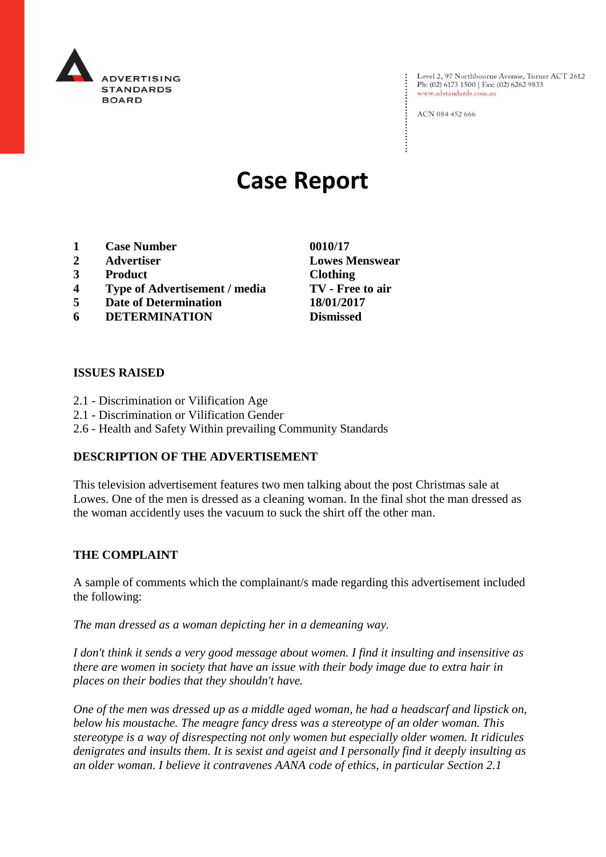

Level 2, 97 Northbourne Avenue, Turner ACT 2612 Ph: (02) 6173 1500 | Fax: (02) 6262 9833 www.adstandards.com.au

ACN 084 452 666

# **Case Report**

- **1 Case Number 0010/17**
- **2 Advertiser Lowes Menswear**
- **3 Product Clothing**
- **4 Type of Advertisement / media TV - Free to air**
- **5 Date of Determination 18/01/2017**
- **6 DETERMINATION Dismissed**

#### **ISSUES RAISED**

- 2.1 Discrimination or Vilification Age
- 2.1 Discrimination or Vilification Gender
- 2.6 Health and Safety Within prevailing Community Standards

#### **DESCRIPTION OF THE ADVERTISEMENT**

This television advertisement features two men talking about the post Christmas sale at Lowes. One of the men is dressed as a cleaning woman. In the final shot the man dressed as the woman accidently uses the vacuum to suck the shirt off the other man.

#### **THE COMPLAINT**

A sample of comments which the complainant/s made regarding this advertisement included the following:

*The man dressed as a woman depicting her in a demeaning way.*

*I don't think it sends a very good message about women. I find it insulting and insensitive as there are women in society that have an issue with their body image due to extra hair in places on their bodies that they shouldn't have.*

*One of the men was dressed up as a middle aged woman, he had a headscarf and lipstick on, below his moustache. The meagre fancy dress was a stereotype of an older woman. This stereotype is a way of disrespecting not only women but especially older women. It ridicules denigrates and insults them. It is sexist and ageist and I personally find it deeply insulting as an older woman. I believe it contravenes AANA code of ethics, in particular Section 2.1*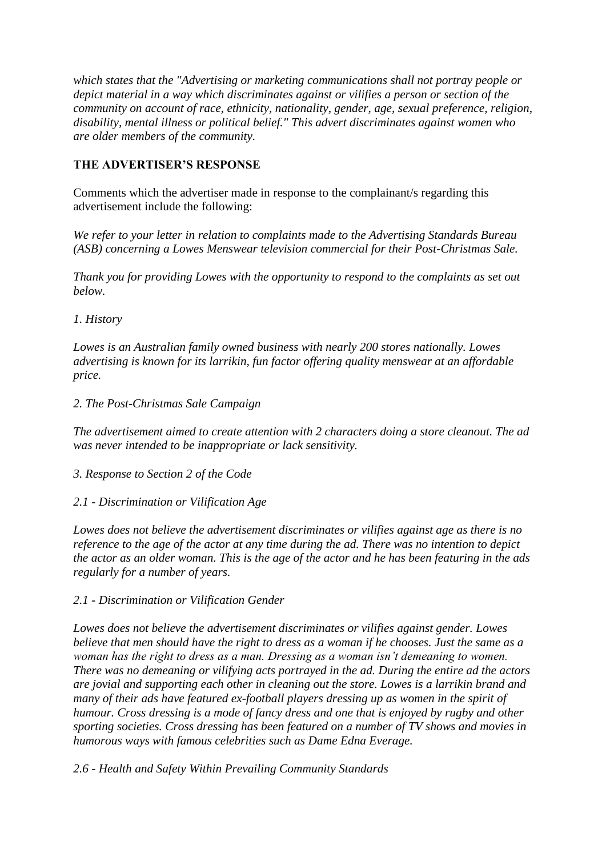*which states that the "Advertising or marketing communications shall not portray people or depict material in a way which discriminates against or vilifies a person or section of the community on account of race, ethnicity, nationality, gender, age, sexual preference, religion, disability, mental illness or political belief." This advert discriminates against women who are older members of the community.*

## **THE ADVERTISER'S RESPONSE**

Comments which the advertiser made in response to the complainant/s regarding this advertisement include the following:

*We refer to your letter in relation to complaints made to the Advertising Standards Bureau (ASB) concerning a Lowes Menswear television commercial for their Post-Christmas Sale.*

*Thank you for providing Lowes with the opportunity to respond to the complaints as set out below.*

*1. History*

*Lowes is an Australian family owned business with nearly 200 stores nationally. Lowes advertising is known for its larrikin, fun factor offering quality menswear at an affordable price.*

*2. The Post-Christmas Sale Campaign*

*The advertisement aimed to create attention with 2 characters doing a store cleanout. The ad was never intended to be inappropriate or lack sensitivity.*

*3. Response to Section 2 of the Code*

*2.1 - Discrimination or Vilification Age*

*Lowes does not believe the advertisement discriminates or vilifies against age as there is no reference to the age of the actor at any time during the ad. There was no intention to depict the actor as an older woman. This is the age of the actor and he has been featuring in the ads regularly for a number of years.*

*2.1 - Discrimination or Vilification Gender*

*Lowes does not believe the advertisement discriminates or vilifies against gender. Lowes believe that men should have the right to dress as a woman if he chooses. Just the same as a woman has the right to dress as a man. Dressing as a woman isn't demeaning to women. There was no demeaning or vilifying acts portrayed in the ad. During the entire ad the actors are jovial and supporting each other in cleaning out the store. Lowes is a larrikin brand and many of their ads have featured ex-football players dressing up as women in the spirit of humour. Cross dressing is a mode of fancy dress and one that is enjoyed by rugby and other sporting societies. Cross dressing has been featured on a number of TV shows and movies in humorous ways with famous celebrities such as Dame Edna Everage.*

*2.6 - Health and Safety Within Prevailing Community Standards*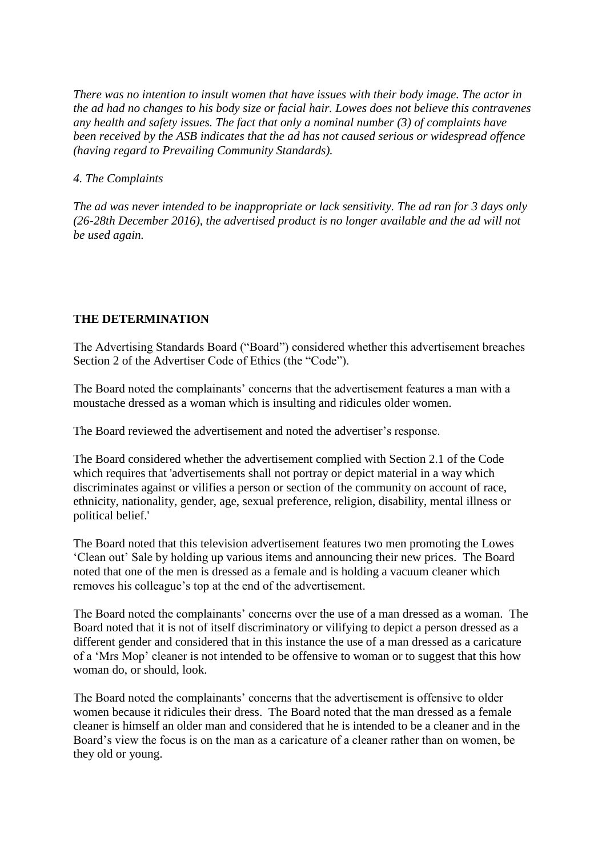*There was no intention to insult women that have issues with their body image. The actor in the ad had no changes to his body size or facial hair. Lowes does not believe this contravenes any health and safety issues. The fact that only a nominal number (3) of complaints have been received by the ASB indicates that the ad has not caused serious or widespread offence (having regard to Prevailing Community Standards).*

### *4. The Complaints*

*The ad was never intended to be inappropriate or lack sensitivity. The ad ran for 3 days only (26-28th December 2016), the advertised product is no longer available and the ad will not be used again.*

## **THE DETERMINATION**

The Advertising Standards Board ("Board") considered whether this advertisement breaches Section 2 of the Advertiser Code of Ethics (the "Code").

The Board noted the complainants' concerns that the advertisement features a man with a moustache dressed as a woman which is insulting and ridicules older women.

The Board reviewed the advertisement and noted the advertiser's response.

The Board considered whether the advertisement complied with Section 2.1 of the Code which requires that 'advertisements shall not portray or depict material in a way which discriminates against or vilifies a person or section of the community on account of race, ethnicity, nationality, gender, age, sexual preference, religion, disability, mental illness or political belief.'

The Board noted that this television advertisement features two men promoting the Lowes 'Clean out' Sale by holding up various items and announcing their new prices. The Board noted that one of the men is dressed as a female and is holding a vacuum cleaner which removes his colleague's top at the end of the advertisement.

The Board noted the complainants' concerns over the use of a man dressed as a woman. The Board noted that it is not of itself discriminatory or vilifying to depict a person dressed as a different gender and considered that in this instance the use of a man dressed as a caricature of a 'Mrs Mop' cleaner is not intended to be offensive to woman or to suggest that this how woman do, or should, look.

The Board noted the complainants' concerns that the advertisement is offensive to older women because it ridicules their dress. The Board noted that the man dressed as a female cleaner is himself an older man and considered that he is intended to be a cleaner and in the Board's view the focus is on the man as a caricature of a cleaner rather than on women, be they old or young.